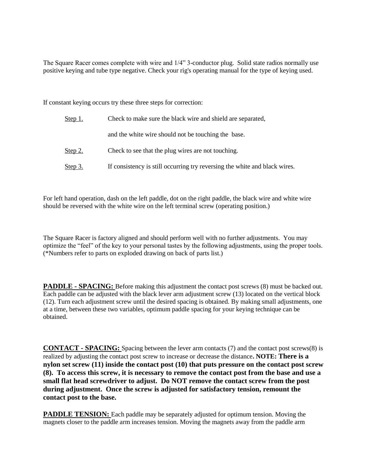The Square Racer comes complete with wire and 1/4" 3-conductor plug. Solid state radios normally use positive keying and tube type negative. Check your rig's operating manual for the type of keying used.

If constant keying occurs try these three steps for correction:

| <u>Step 1.</u> | Check to make sure the black wire and shield are separated,                |
|----------------|----------------------------------------------------------------------------|
|                | and the white wire should not be touching the base.                        |
| <u>Step 2.</u> | Check to see that the plug wires are not touching.                         |
| Step 3.        | If consistency is still occurring try reversing the white and black wires. |

For left hand operation, dash on the left paddle, dot on the right paddle, the black wire and white wire should be reversed with the white wire on the left terminal screw (operating position.)

The Square Racer is factory aligned and should perform well with no further adjustments. You may optimize the "feel" of the key to your personal tastes by the following adjustments, using the proper tools. (\*Numbers refer to parts on exploded drawing on back of parts list.)

**PADDLE - SPACING:** Before making this adjustment the contact post screws (8) must be backed out. Each paddle can be adjusted with the black lever arm adjustment screw (13) located on the vertical block (12). Turn each adjustment screw until the desired spacing is obtained. By making small adjustments, one at a time, between these two variables, optimum paddle spacing for your keying technique can be obtained.

**CONTACT - SPACING:** Spacing between the lever arm contacts (7) and the contact post screws(8) is realized by adjusting the contact post screw to increase or decrease the distance**. NOTE: There is a nylon set screw (11) inside the contact post (10) that puts pressure on the contact post screw (8). To access this screw, it is necessary to remove the contact post from the base and use a small flat head screwdriver to adjust. Do NOT remove the contact screw from the post during adjustment. Once the screw is adjusted for satisfactory tension, remount the contact post to the base.**

**PADDLE TENSION:** Each paddle may be separately adjusted for optimum tension. Moving the magnets closer to the paddle arm increases tension. Moving the magnets away from the paddle arm